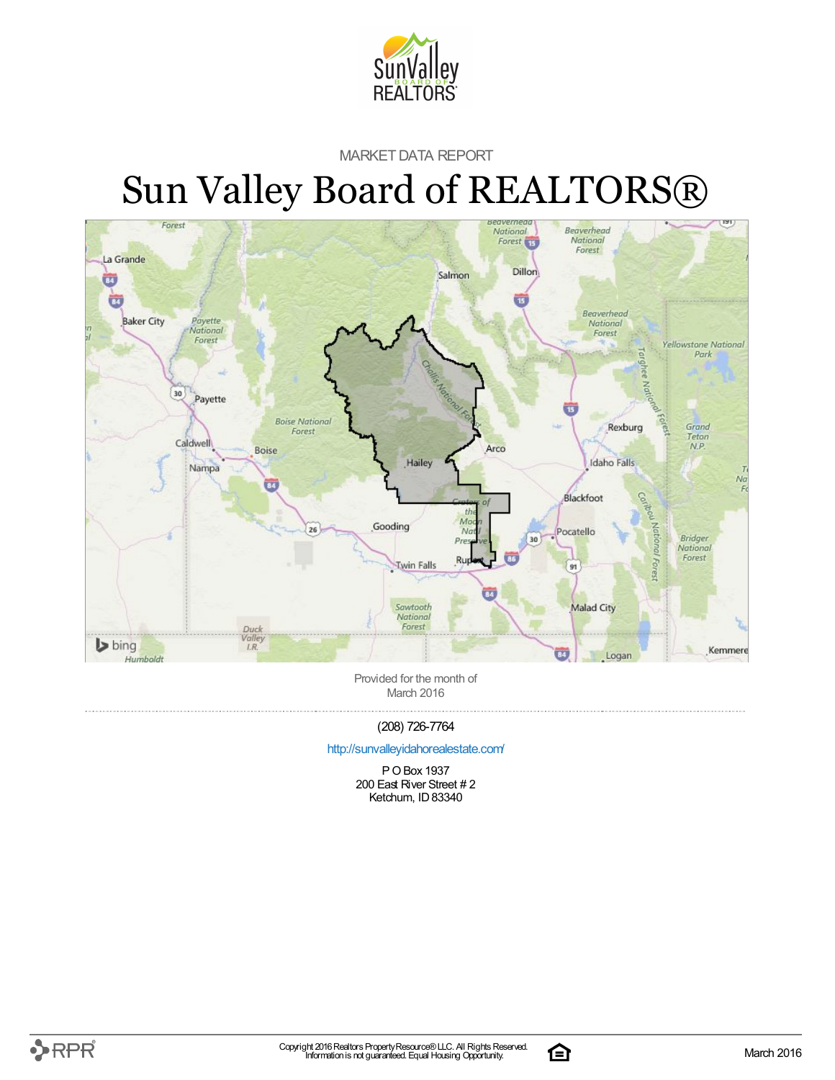

### MARKET DATA REPORT

# Sun Valley Board of REALTORS®



Provided for the month of March 2016

### (208) 726-7764

#### <http://sunvalleyidahorealestate.com/>

P OBox 1937 200 East River Street # 2 Ketchum, ID 83340

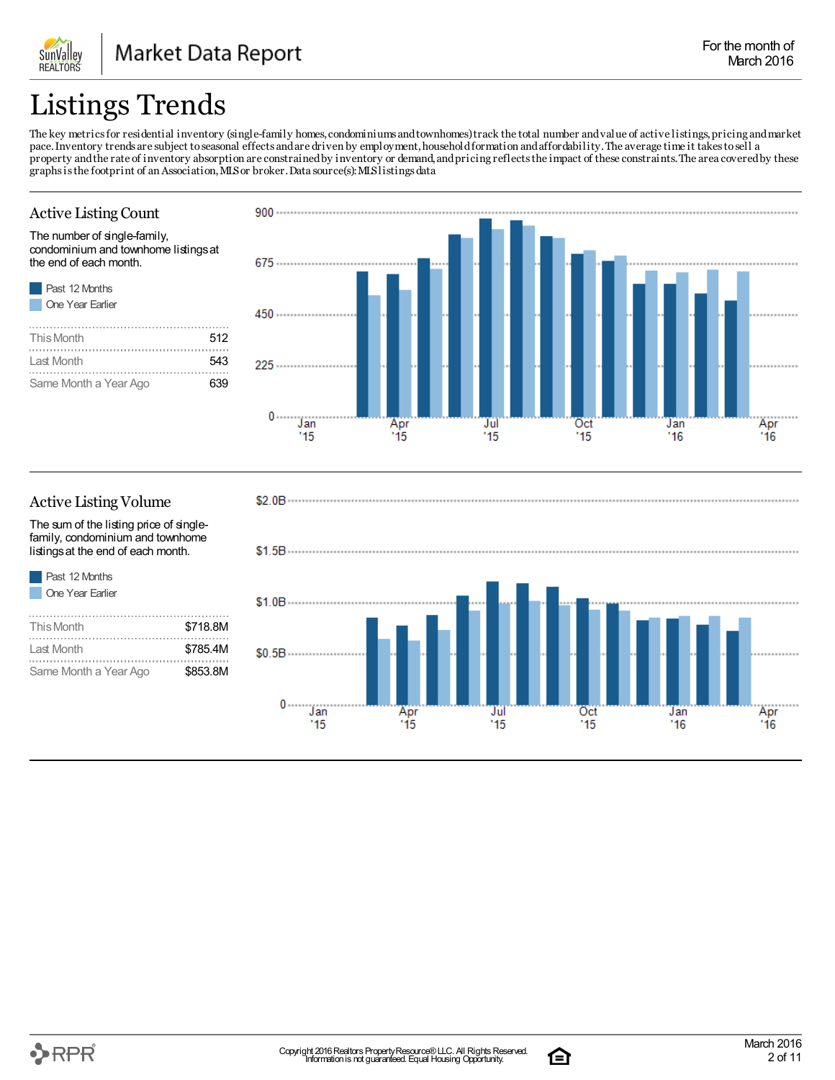## Listings Trends

The key metricsfor residential inventory (single-family homes,condominiums andtownhomes)track the total number andvalue of active listings,pricing andmarket pace.Inventory trends are subject toseasonal effects andare driven by employment,householdformation andaffordability.The average time it takestosell a property andthe rate of inventory absorption are constrainedby inventory or demand,andpricing reflectsthe impact of these constraints.The area coveredby these graphs is the footprint of an Association, MLS or broker. Data source(s): MLS listings data

### Active Listing Count

The number of single-family, condominium and townhome listingsat the end of each month.



SunValley **REALTORS** 

| This Month            | 512 |
|-----------------------|-----|
| I ast Month           | 543 |
| Same Month a Year Ago | 639 |



### Active Listing Volume

Past 12 Months

The sum of the listing price of singlefamily, condominium and townhome listingsat the end of each month.

**One Year Earlier** This Month  $$718.8M$ . . . . . . . . . . . . . . . . Last Month  $$785.4M$ Same Month a Year Ago \$853.8M





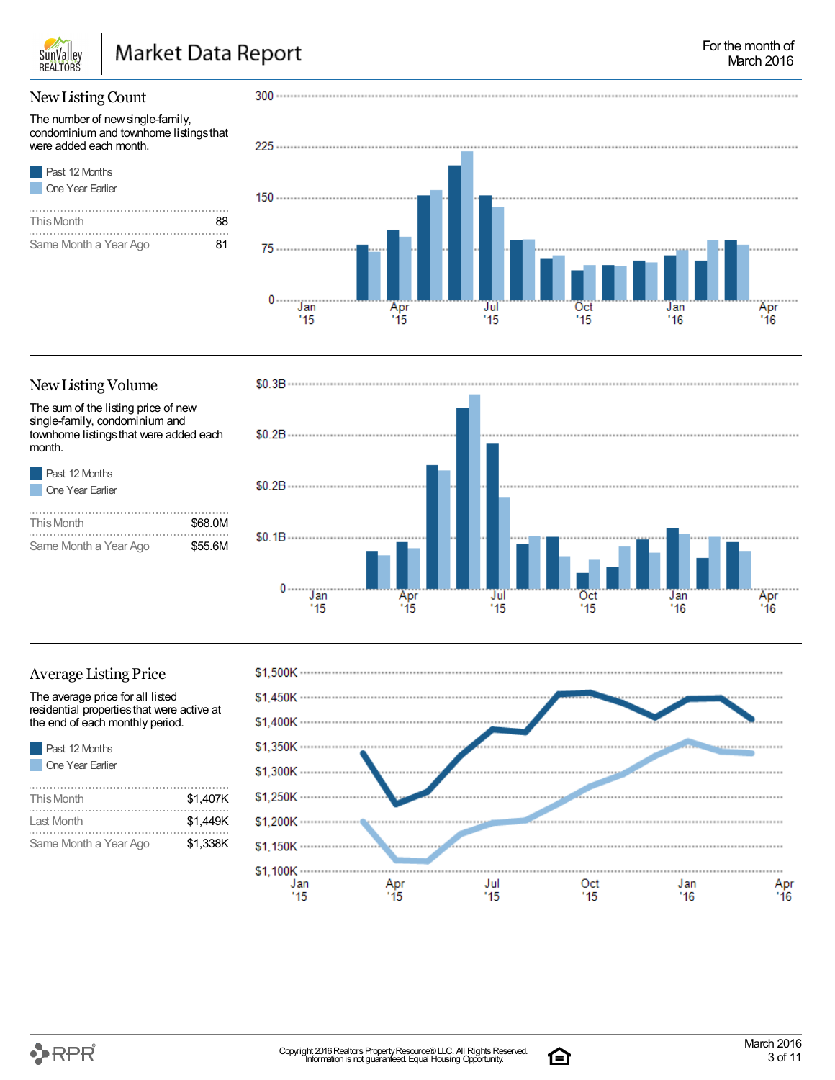

### NewListing Count

The number of new single-family, condominium and townhome listingsthat were added each month.

| <b>Past 12 Months</b> |
|-----------------------|
| One Year Earlier      |

| This Month            | xя |
|-----------------------|----|
|                       |    |
| Same Month a Year Ago | 81 |



### New Listing Volume

The sum of the listing price of new single-family, condominium and townhome listingsthat were added each month.

| Past 12 Months          |
|-------------------------|
| <b>One Year Earlier</b> |

| This Month            | \$68,0M |
|-----------------------|---------|
|                       |         |
| Same Month a Year Ago | \$55.6M |



### Average Listing Price

The average price for all listed residential propertiesthat were active at the end of each monthly period.

| <b>Past 12 Months</b> |
|-----------------------|
| One Year Earlier      |
|                       |
| This Month            |
|                       |

| This Month            | \$1,407K |  |
|-----------------------|----------|--|
| Last Month            | \$1.449K |  |
| Same Month a Year Ago | \$1.338K |  |



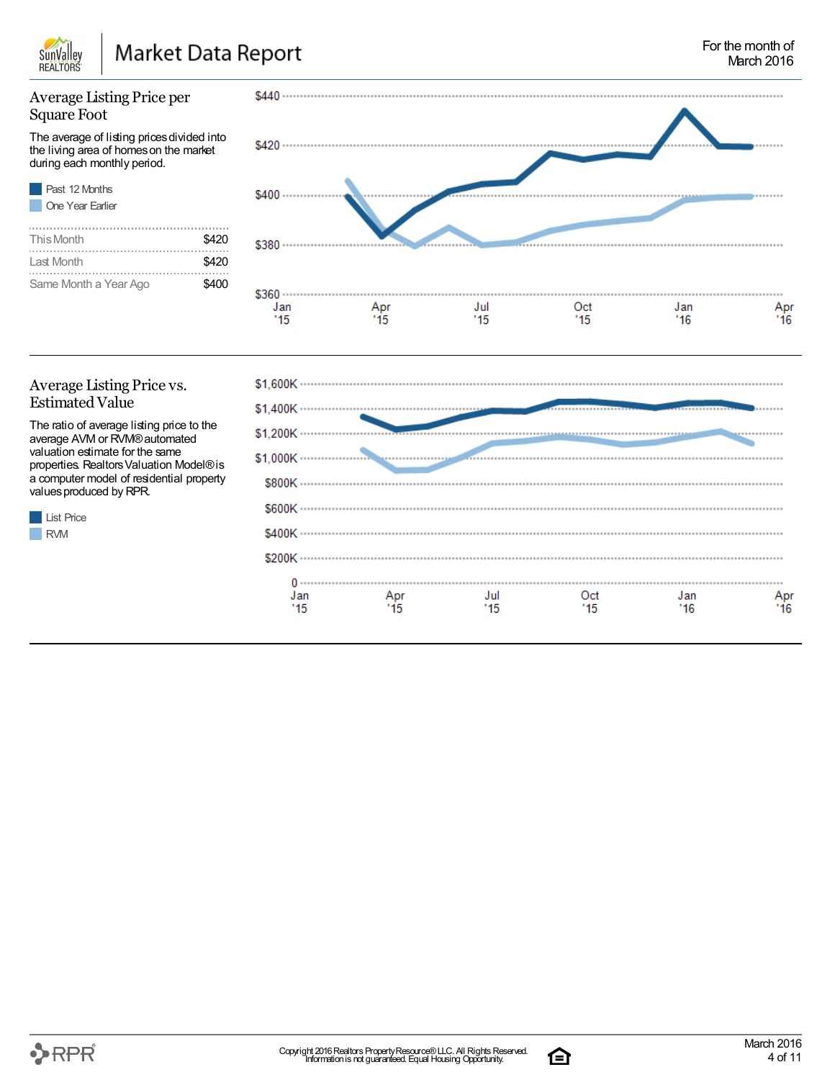

### Average Listing Price per Square Foot

The average of listing pricesdivided into the living area of homeson the market during each monthly period.

| Past 12 Months        |       |
|-----------------------|-------|
| One Year Farlier      |       |
|                       |       |
| This Month            | \$420 |
|                       |       |
| Last Month            | \$420 |
|                       |       |
| Same Month a Year Ago |       |



### Average Listing Price vs. Estimated Value

List Price RVM

The ratio of average listing price to the average AVM or RVM®automated valuation estimate for the same properties. RealtorsValuation Model®is a computer model of residential property values produced by RPR.



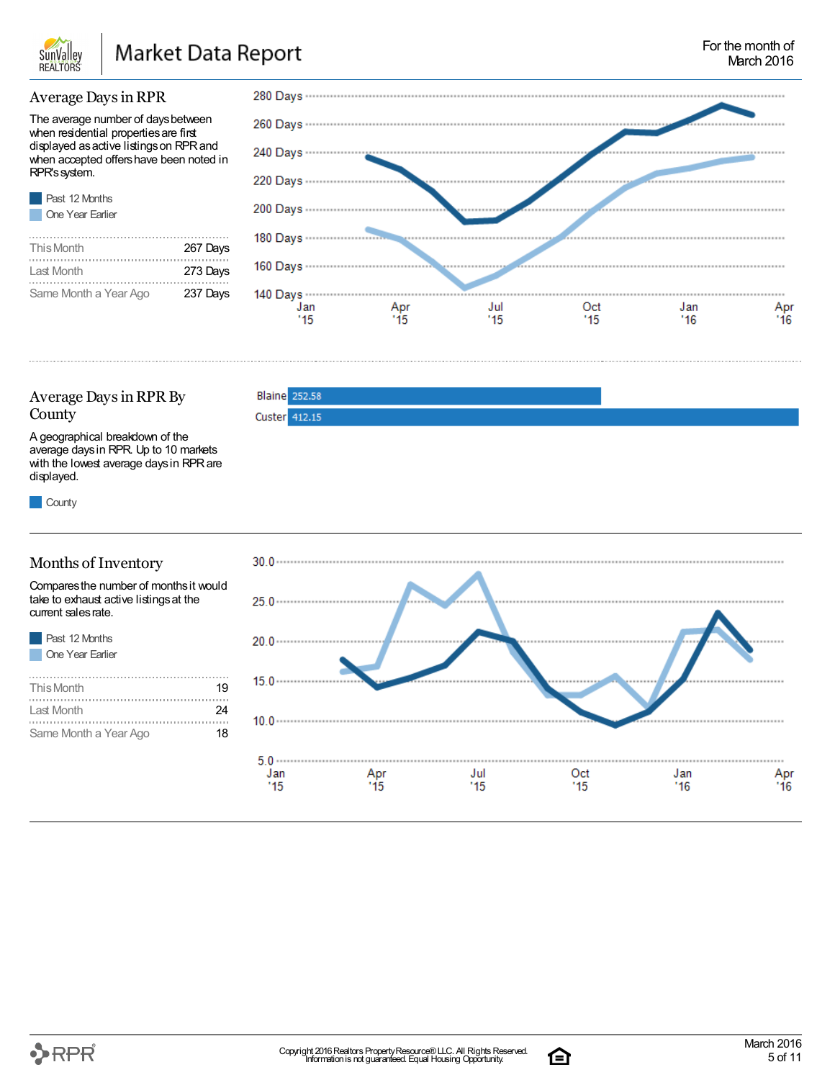

**Blaine** 252.58 Custer 412.15

### Average DaysinRPR

The average number of days between when residential properties are first displayed as active listings on RPR and when accepted offers have been noted in RPR'ssystem.

| <b>Past 12 Months</b> |
|-----------------------|
| One Year Earlier      |

| This Month            | 267 Days |
|-----------------------|----------|
| Last Month            | 273 Days |
| Same Month a Year Ago | 237 Days |



### Average Days in RPR By County

A geographical breakdown of the average daysin RPR. Up to 10 markets with the lowest average daysin RPRare displayed.

**County** 

. . . . . . . . . . . . . .

### Months of Inventory

Comparesthe number of monthsit would take to exhaust active listings at the current sales rate.

| Past 12 Months   |    |
|------------------|----|
| One Year Earlier |    |
|                  |    |
| This Month       | 19 |
| I ast Month      |    |

Same Month a Year Ago 18



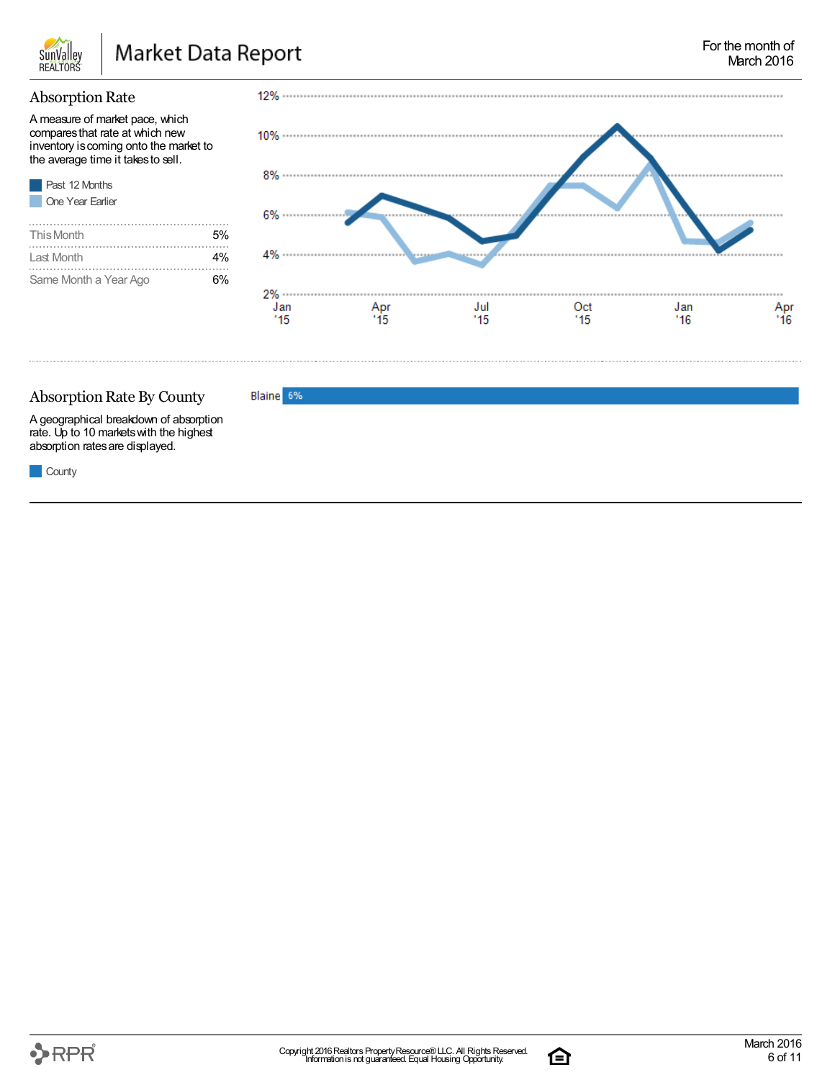

### **Absorption Rate**

A measure of market pace, which comparesthat rate at which new inventory is coming onto the market to the average time it takesto sell.



| This Month            | 5% |
|-----------------------|----|
| Last Month            | 4% |
| Same Month a Year Ago | ና% |



### Absorption Rate By County

Blaine 6%

A geographical breakdown of absorption rate. Up to 10 marketswith the highest absorption ratesare displayed.

**County** 



臼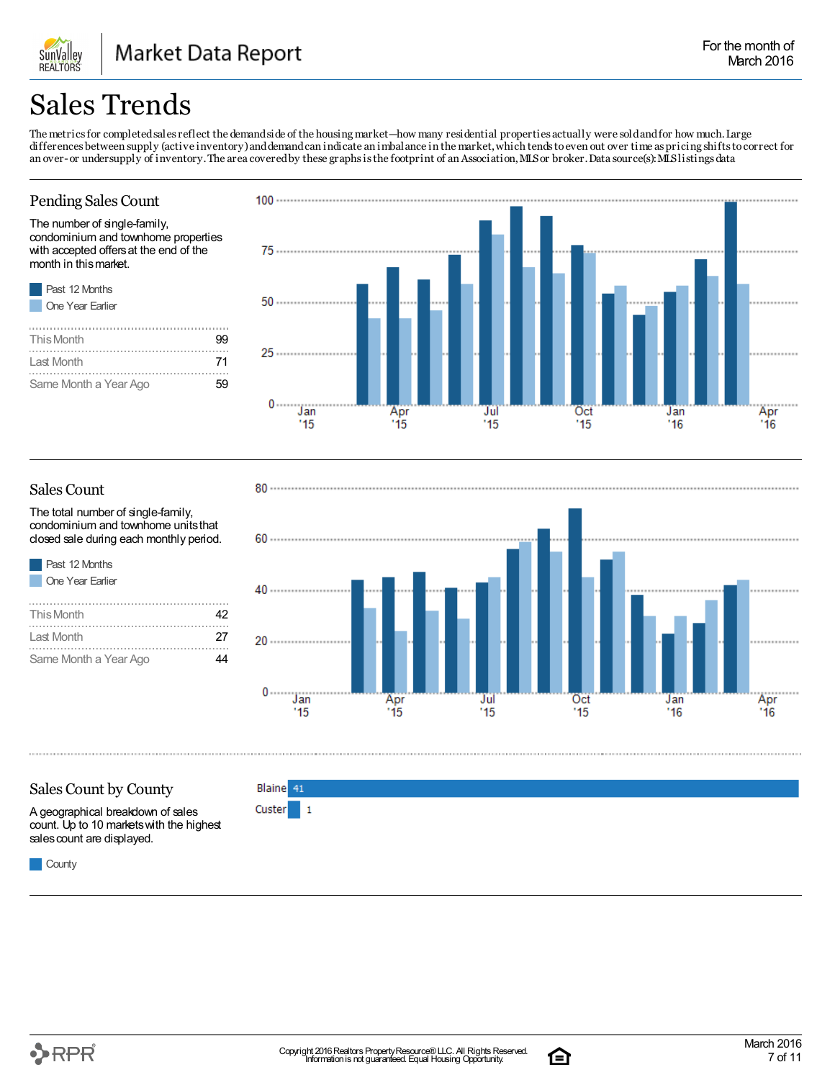### Sales Trends

SunValley **REALTORS** 

The metrics for completed sales reflect the demand side of the housing market—how many residential properties actually were sold and for how much. Large differences between supply (active inventory)anddemandcan indicate an imbalance in the market,which tendstoeven out over time aspricing shiftstocorrect for an over-or undersupply of inventory. The area covered by these graphs is the footprint of an Association, MLS or broker. Data source(s): MLS listings data

### Pending Sales Count

The number of single-family, condominium and townhome properties with accepted offersat the end of the month in thismarket.

| Past 12 Months        |  |
|-----------------------|--|
| One Year Earlier      |  |
|                       |  |
| This Month            |  |
| Last Month            |  |
|                       |  |
| Same Month a Year Ago |  |



### Sales Count

The total number of single-family, condominium and townhome unitsthat closed sale during each monthly period.

| Past 12 Months   |
|------------------|
| One Year Earlier |
|                  |
| This Month       |

| .                     | . . |
|-----------------------|-----|
|                       |     |
| Last Month            | 27  |
|                       |     |
| Same Month a Year Ago | 44  |



### Sales Count by County

A geographical breakdown of sales count. Up to 10 marketswith the highest sales count are displayed.



**Custer**  $\mathbf{1}$ 

**County** 



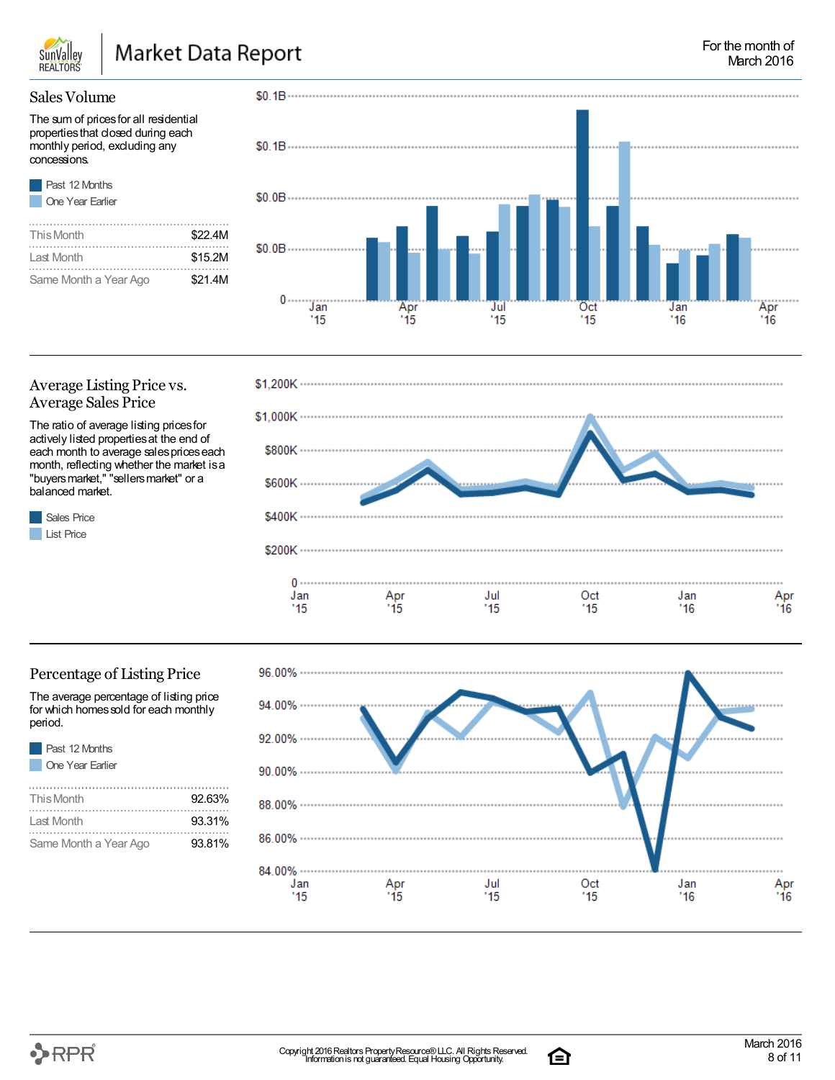

### Market Data Report

### For the month of March 2016

### Sales Volume

The sum of prices for all residential propertiesthat closed during each monthly period, excluding any concessions.



Sales Price **List Price** 

| This Month            | \$22.4M |
|-----------------------|---------|
| Last Month            | \$15.2M |
| Same Month a Year Ago | \$21.4M |



### Average Listing Price vs. Average Sales Price

The ratio of average listing prices for actively listed propertiesat the end of each month to average sales prices each month, reflecting whether the market isa "buyers market," "sellers market" or a balanced market.



### Percentage of Listing Price

The average percentage of listing price for which homes sold for each monthly period.

Same Month a Year Ago **93.81%** 

| Past 12 Months<br>One Year Earlier |        |
|------------------------------------|--------|
| This Month                         | 92.63% |
| Last Month                         | 93.31% |

| .         |            |                  |     |     |            |
|-----------|------------|------------------|-----|-----|------------|
| 94.00%    |            |                  |     |     |            |
| 92.00%    |            |                  |     |     |            |
| 90.00%    |            |                  |     |     |            |
|           |            |                  |     |     |            |
|           |            |                  |     |     |            |
| $86.00\%$ |            |                  |     |     |            |
| 84.00%    |            |                  |     |     |            |
| Jan       | Apr<br>'15 | $\frac{Jul}{15}$ | Oct | Jan | Apr<br>'16 |
| '15       |            |                  | '15 | '16 |            |
|           |            |                  |     |     |            |

臼



96.00% ..................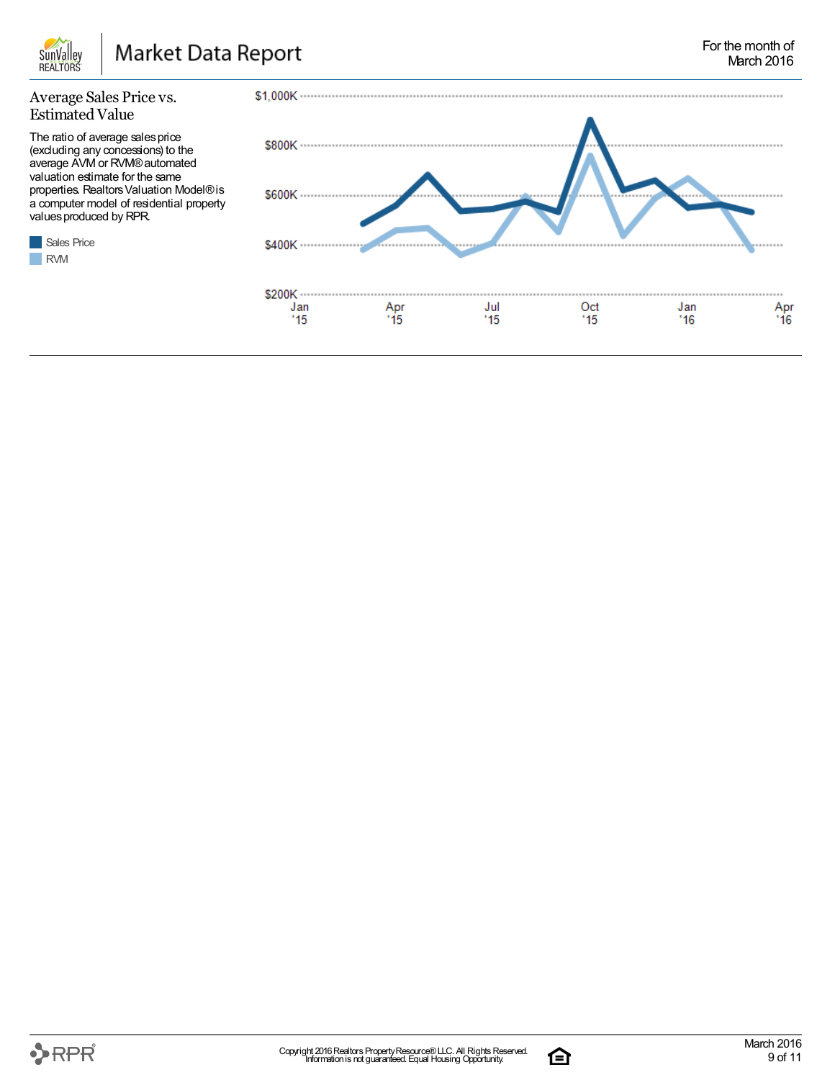

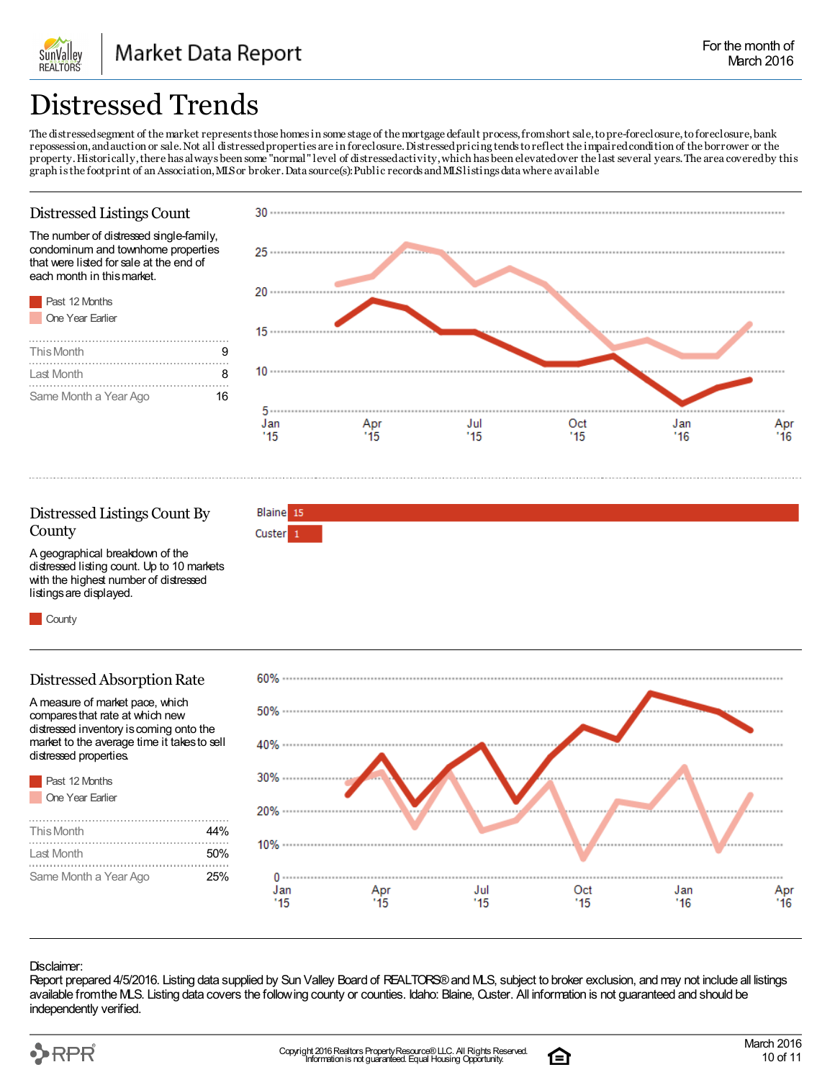## Distressed Trends

The distressed segment of the market represents those homes in some stage of the mortgage default process, from short sale, to pre-foreclosure, to foreclosure, bank repossession,andauction or sale.Not all distressedproperties are in foreclosure.Distressedpricing tendstoreflect the impairedcondition of the borrower or the property.Historically,there has always been some "normal"level of distressedactivity,which has been elevatedover the last several years.The area coveredby this graph isthe footprint of an Association,MLSor broker.Data source(s):Publicrecords andMLSlistingsdatawhere available

### Distressed Listings Count

**SunValley REALTORS** 

The number of distressed single-family, condominum and townhome properties that were listed for sale at the end of each month in thismarket.





### Distressed Listings Count By **County**

Blaine 15 Custer<sub>1</sub>

A geographical breakdown of the distressed listing count. Up to 10 markets with the highest number of distressed listingsare displayed.

**County** 

### Distressed Absorption Rate

A measure of market pace, which comparesthat rate at which new distressed inventory iscoming onto the market to the average time it takesto sell distressed properties.

| Past 12 Months        |      |
|-----------------------|------|
| One Year Earlier      |      |
|                       |      |
| This Month            | 44%  |
| I ast Month           | .50% |
| Same Month a Year Ago | 25%  |



#### Disclaimer:

Report prepared 4/5/2016. Listing data supplied by Sun Valley Board of REALTORS®and MLS, subject to broker exclusion, and may not include all listings available fromthe MLS. Listing data covers the following county or counties. Idaho: Blaine, Custer. All information is not guaranteed and should be independently verified.